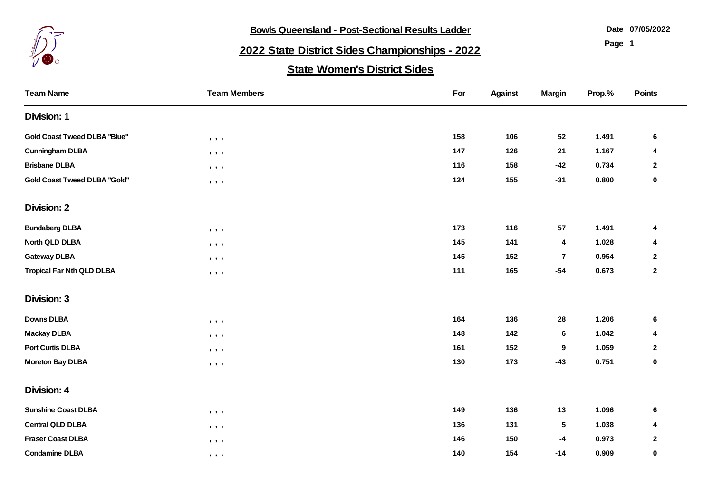

**Bowls Queensland - Post-Sectional Results Ladder** 

**07/05/2022**

**Page 1**

## **2022 State District Sides Championships - 2022**

## **State Women's District Sides**

| <b>Team Name</b>                    | <b>Team Members</b>                                                                        | For | <b>Against</b> | <b>Margin</b> | Prop.% | <b>Points</b> |
|-------------------------------------|--------------------------------------------------------------------------------------------|-----|----------------|---------------|--------|---------------|
| <b>Division: 1</b>                  |                                                                                            |     |                |               |        |               |
| <b>Gold Coast Tweed DLBA "Blue"</b> | 9.9.9                                                                                      | 158 | 106            | 52            | 1.491  | 6             |
| <b>Cunningham DLBA</b>              | $\bullet\quad\bullet\quad\bullet$                                                          | 147 | 126            | 21            | 1.167  | 4             |
| <b>Brisbane DLBA</b>                | $\,$ , $\,$ , $\,$ ,                                                                       | 116 | 158            | $-42$         | 0.734  | $\mathbf 2$   |
| <b>Gold Coast Tweed DLBA "Gold"</b> | , , ,                                                                                      | 124 | 155            | $-31$         | 0.800  | 0             |
| <b>Division: 2</b>                  |                                                                                            |     |                |               |        |               |
| <b>Bundaberg DLBA</b>               | $\mathbf{y}=\mathbf{y}=\mathbf{y}$                                                         | 173 | 116            | 57            | 1.491  | 4             |
| North QLD DLBA                      | $\qquad \qquad \bullet \qquad \bullet$                                                     | 145 | 141            | 4             | 1.028  | 4             |
| <b>Gateway DLBA</b>                 | $\bullet\quad\bullet\quad\bullet\quad\bullet$                                              | 145 | 152            | $-7$          | 0.954  | $\mathbf{2}$  |
| <b>Tropical Far Nth QLD DLBA</b>    | $\bullet\quad\bullet\quad\bullet\quad\bullet$                                              | 111 | 165            | $-54$         | 0.673  | $\mathbf{2}$  |
| <b>Division: 3</b>                  |                                                                                            |     |                |               |        |               |
| <b>Downs DLBA</b>                   | $\qquad \qquad \bullet \qquad \bullet$                                                     | 164 | 136            | 28            | 1.206  | $\bf 6$       |
| <b>Mackay DLBA</b>                  | $\begin{array}{ccccccccccccc} \bullet & \bullet & \bullet & \bullet & \bullet \end{array}$ | 148 | 142            | 6             | 1.042  | 4             |
| <b>Port Curtis DLBA</b>             | $\bullet\quad \bullet\quad \bullet$                                                        | 161 | 152            | 9             | 1.059  | 2             |
| <b>Moreton Bay DLBA</b>             | , , ,                                                                                      | 130 | 173            | $-43$         | 0.751  | 0             |
| Division: 4                         |                                                                                            |     |                |               |        |               |
| <b>Sunshine Coast DLBA</b>          | $\mathbf{y}=\mathbf{y}=\mathbf{y}$                                                         | 149 | 136            | 13            | 1.096  | 6             |
| <b>Central QLD DLBA</b>             | $\qquad \qquad , \qquad \qquad ,$                                                          | 136 | 131            | $\sqrt{5}$    | 1.038  | 4             |
| <b>Fraser Coast DLBA</b>            | $\qquad \qquad \bullet \qquad \bullet$                                                     | 146 | 150            | $-4$          | 0.973  | $\mathbf 2$   |
| <b>Condamine DLBA</b>               | $\mathbf{5}$ , $\mathbf{5}$ , $\mathbf{5}$                                                 | 140 | 154            | $-14$         | 0.909  | 0             |